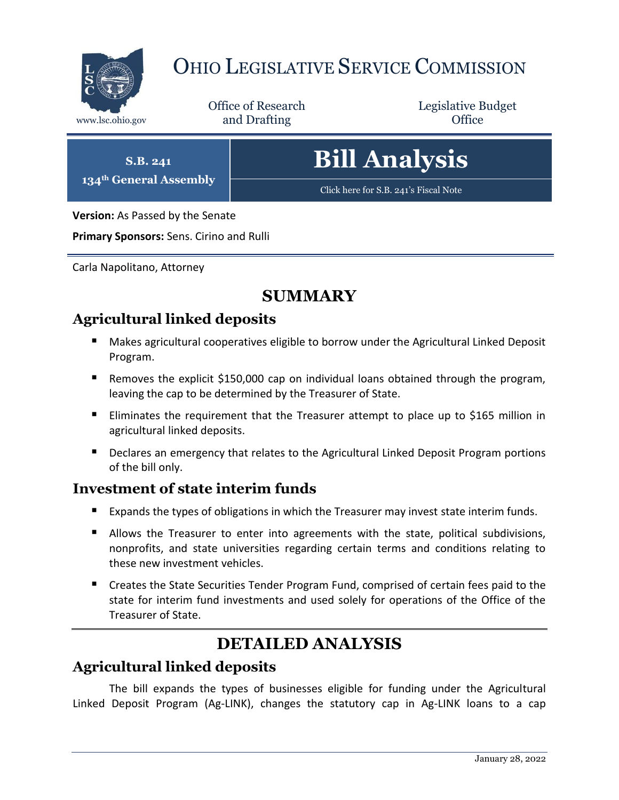

## OHIO LEGISLATIVE SERVICE COMMISSION

Office of Research www.lsc.ohio.gov **and Drafting Office** 

Legislative Budget

**S.B. 241 134th General Assembly**

# **Bill Analysis**

[Click here for S.B. 241](https://www.legislature.ohio.gov/legislation/legislation-documents?id=GA134-SB-241)'s Fiscal Note

**Version:** As Passed by the Senate

**Primary Sponsors:** Sens. Cirino and Rulli

Carla Napolitano, Attorney

## **SUMMARY**

## **Agricultural linked deposits**

- Makes agricultural cooperatives eligible to borrow under the Agricultural Linked Deposit Program.
- Removes the explicit \$150,000 cap on individual loans obtained through the program, leaving the cap to be determined by the Treasurer of State.
- **Eliminates the requirement that the Treasurer attempt to place up to \$165 million in** agricultural linked deposits.
- Declares an emergency that relates to the Agricultural Linked Deposit Program portions of the bill only.

#### **Investment of state interim funds**

- Expands the types of obligations in which the Treasurer may invest state interim funds.
- **Allows the Treasurer to enter into agreements with the state, political subdivisions,** nonprofits, and state universities regarding certain terms and conditions relating to these new investment vehicles.
- **E** Creates the State Securities Tender Program Fund, comprised of certain fees paid to the state for interim fund investments and used solely for operations of the Office of the Treasurer of State.

## **DETAILED ANALYSIS**

### **Agricultural linked deposits**

The bill expands the types of businesses eligible for funding under the Agricultural Linked Deposit Program (Ag-LINK), changes the statutory cap in Ag-LINK loans to a cap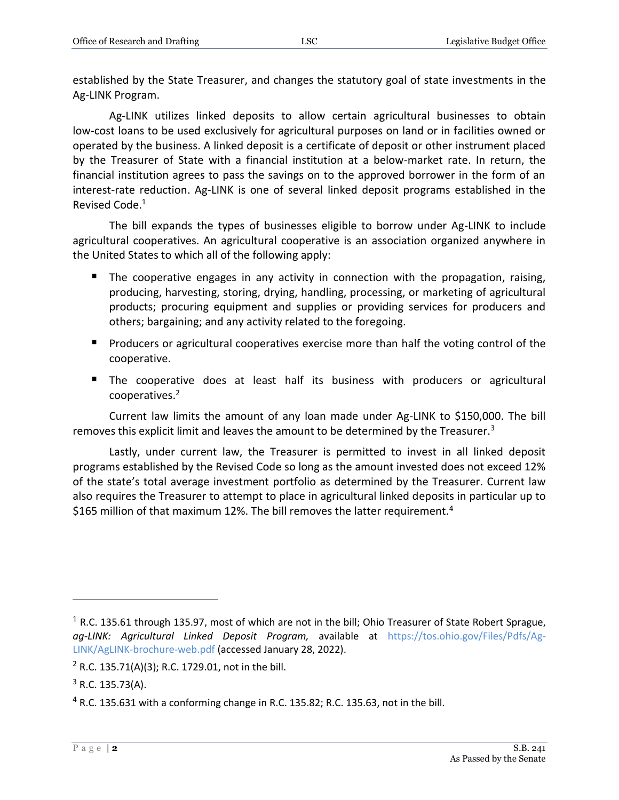established by the State Treasurer, and changes the statutory goal of state investments in the Ag-LINK Program.

Ag-LINK utilizes linked deposits to allow certain agricultural businesses to obtain low-cost loans to be used exclusively for agricultural purposes on land or in facilities owned or operated by the business. A linked deposit is a certificate of deposit or other instrument placed by the Treasurer of State with a financial institution at a below-market rate. In return, the financial institution agrees to pass the savings on to the approved borrower in the form of an interest-rate reduction. Ag-LINK is one of several linked deposit programs established in the Revised Code.<sup>1</sup>

The bill expands the types of businesses eligible to borrow under Ag-LINK to include agricultural cooperatives. An agricultural cooperative is an association organized anywhere in the United States to which all of the following apply:

- The cooperative engages in any activity in connection with the propagation, raising, producing, harvesting, storing, drying, handling, processing, or marketing of agricultural products; procuring equipment and supplies or providing services for producers and others; bargaining; and any activity related to the foregoing.
- **Producers or agricultural cooperatives exercise more than half the voting control of the** cooperative.
- The cooperative does at least half its business with producers or agricultural cooperatives.<sup>2</sup>

Current law limits the amount of any loan made under Ag-LINK to \$150,000. The bill removes this explicit limit and leaves the amount to be determined by the Treasurer. $3$ 

Lastly, under current law, the Treasurer is permitted to invest in all linked deposit programs established by the Revised Code so long as the amount invested does not exceed 12% of the state's total average investment portfolio as determined by the Treasurer. Current law also requires the Treasurer to attempt to place in agricultural linked deposits in particular up to \$165 million of that maximum 12%. The bill removes the latter requirement.<sup>4</sup>

 $\overline{a}$ 

 $1$  R.C. 135.61 through 135.97, most of which are not in the bill; Ohio Treasurer of State Robert Sprague, *ag-LINK: Agricultural Linked Deposit Program,* available at [https://tos.ohio.gov/Files/Pdfs/Ag-](https://tos.ohio.gov/Files/Pdfs/Ag-LINK/AgLINK-brochure-web.pdf)[LINK/AgLINK-brochure-web.pdf](https://tos.ohio.gov/Files/Pdfs/Ag-LINK/AgLINK-brochure-web.pdf) (accessed January 28, 2022).

 $2$  R.C. 135.71(A)(3); R.C. 1729.01, not in the bill.

 $3$  R.C. 135.73(A).

<sup>4</sup> R.C. 135.631 with a conforming change in R.C. 135.82; R.C. 135.63, not in the bill.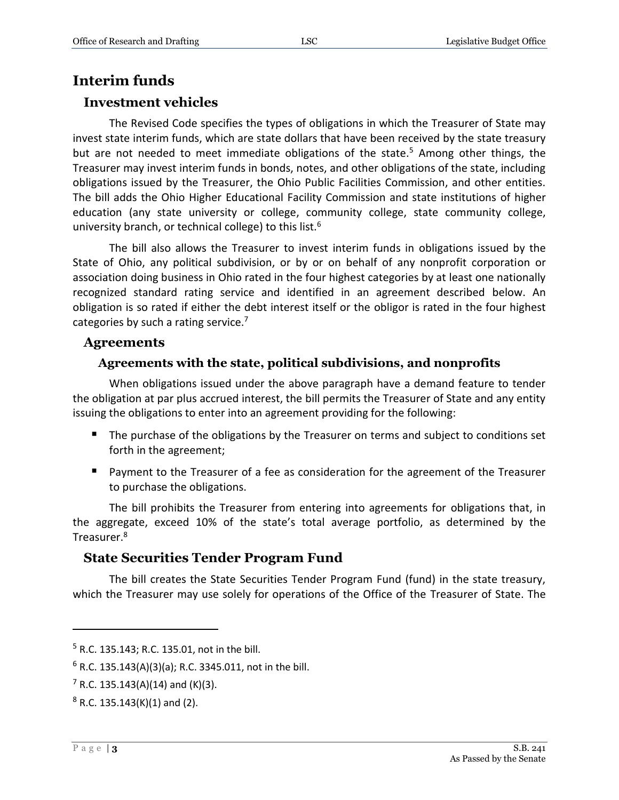#### **Interim funds**

#### **Investment vehicles**

The Revised Code specifies the types of obligations in which the Treasurer of State may invest state interim funds, which are state dollars that have been received by the state treasury but are not needed to meet immediate obligations of the state.<sup>5</sup> Among other things, the Treasurer may invest interim funds in bonds, notes, and other obligations of the state, including obligations issued by the Treasurer, the Ohio Public Facilities Commission, and other entities. The bill adds the Ohio Higher Educational Facility Commission and state institutions of higher education (any state university or college, community college, state community college, university branch, or technical college) to this list.<sup>6</sup>

The bill also allows the Treasurer to invest interim funds in obligations issued by the State of Ohio, any political subdivision, or by or on behalf of any nonprofit corporation or association doing business in Ohio rated in the four highest categories by at least one nationally recognized standard rating service and identified in an agreement described below. An obligation is so rated if either the debt interest itself or the obligor is rated in the four highest categories by such a rating service.<sup>7</sup>

#### **Agreements**

#### **Agreements with the state, political subdivisions, and nonprofits**

When obligations issued under the above paragraph have a demand feature to tender the obligation at par plus accrued interest, the bill permits the Treasurer of State and any entity issuing the obligations to enter into an agreement providing for the following:

- The purchase of the obligations by the Treasurer on terms and subject to conditions set forth in the agreement;
- **Payment to the Treasurer of a fee as consideration for the agreement of the Treasurer** to purchase the obligations.

The bill prohibits the Treasurer from entering into agreements for obligations that, in the aggregate, exceed 10% of the state's total average portfolio, as determined by the Treasurer.<sup>8</sup>

#### **State Securities Tender Program Fund**

The bill creates the State Securities Tender Program Fund (fund) in the state treasury, which the Treasurer may use solely for operations of the Office of the Treasurer of State. The

 $\overline{a}$ 

<sup>5</sup> R.C. 135.143; R.C. 135.01, not in the bill.

 $6$  R.C. 135.143(A)(3)(a); R.C. 3345.011, not in the bill.

 $7$  R.C. 135.143(A)(14) and (K)(3).

 $8$  R.C. 135.143(K)(1) and (2).